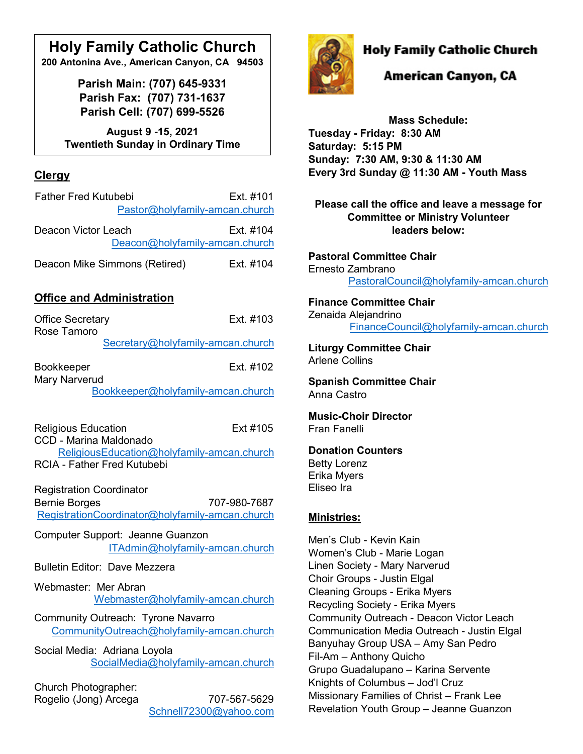# **Holy Family Catholic Church**

**200 Antonina Ave., American Canyon, CA 94503**

**Parish Main: (707) 645-9331 Parish Fax: (707) 731-1637 Parish Cell: (707) 699-5526**

**August 9 -15, 2021 Twentieth Sunday in Ordinary Time**

# **Clergy**

| <b>Father Fred Kutubebi</b>    | Ext. #101 |
|--------------------------------|-----------|
| Pastor@holyfamily-amcan.church |           |
| Deacon Victor Leach            | Ext. #104 |
| Deacon@holyfamily-amcan.church |           |
| Deacon Mike Simmons (Retired)  | Ext. #104 |

# **Office and Administration**

| <b>Office Secretary</b><br>Rose Tamoro                              | Fxt #103                                                        |  |
|---------------------------------------------------------------------|-----------------------------------------------------------------|--|
|                                                                     | Secretary@holyfamily-amcan.church                               |  |
| <b>Bookkeeper</b><br><b>Mary Narverud</b>                           | Fxt #102                                                        |  |
|                                                                     | Bookkeeper@holyfamily-amcan.church                              |  |
| <b>Religious Education</b><br><b>CCD - Marina Maldonado</b>         | Ext #105                                                        |  |
| <b>RCIA - Father Fred Kutubebi</b>                                  | ReligiousEducation@holyfamily-amcan.church                      |  |
| <b>Registration Coordinator</b><br><b>Bernie Borges</b>             | 707-980-7687<br>RegistrationCoordinator@holyfamily-amcan.church |  |
| Computer Support: Jeanne Guanzon<br>ITAdmin@holyfamily-amcan.church |                                                                 |  |
| <b>Bulletin Editor: Dave Mezzera</b>                                |                                                                 |  |
| Webmaster: Mer Abran                                                | Webmaster@holyfamily-amcan.church                               |  |
| Community Outreach: Tyrone Navarro                                  | CommunityOutreach@holyfamily-amcan.church                       |  |
| Social Media: Adriana Loyola                                        | SocialMedia@holyfamily-amcan.church                             |  |
| Church Photographer:<br>Rogelio (Jong) Arcega                       | 707-567-5629<br>Schnell72300@yahoo.com                          |  |



# **Holy Family Catholic Church**

# American Canyon, CA

**Mass Schedule: Tuesday - Friday: 8:30 AM Saturday: 5:15 PM Sunday: 7:30 AM, 9:30 & 11:30 AM Every 3rd Sunday @ 11:30 AM - Youth Mass**

**Please call the office and leave a message for Committee or Ministry Volunteer leaders below:**

**Pastoral Committee Chair** Ernesto Zambrano [PastoralCouncil@holyfamily-amcan.church](mailto:PastoralCouncil@holyfamily-amcan.church)

#### **Finance Committee Chair** Zenaida Alejandrino [FinanceCouncil@holyfamily-amcan.church](mailto:FinanceCouncil@holyfamily-amcan.church)

**Liturgy Committee Chair**  Arlene Collins

**Spanish Committee Chair** Anna Castro

**Music-Choir Director** Fran Fanelli

#### **Donation Counters**

Betty Lorenz Erika Myers Eliseo Ira

### **Ministries:**

Men's Club - Kevin Kain Women's Club - Marie Logan Linen Society - Mary Narverud Choir Groups - Justin Elgal Cleaning Groups - Erika Myers Recycling Society - Erika Myers Community Outreach - Deacon Victor Leach Communication Media Outreach - Justin Elgal Banyuhay Group USA – Amy San Pedro Fil-Am – Anthony Quicho Grupo Guadalupano – Karina Servente Knights of Columbus – Jod'l Cruz Missionary Families of Christ – Frank Lee Revelation Youth Group – Jeanne Guanzon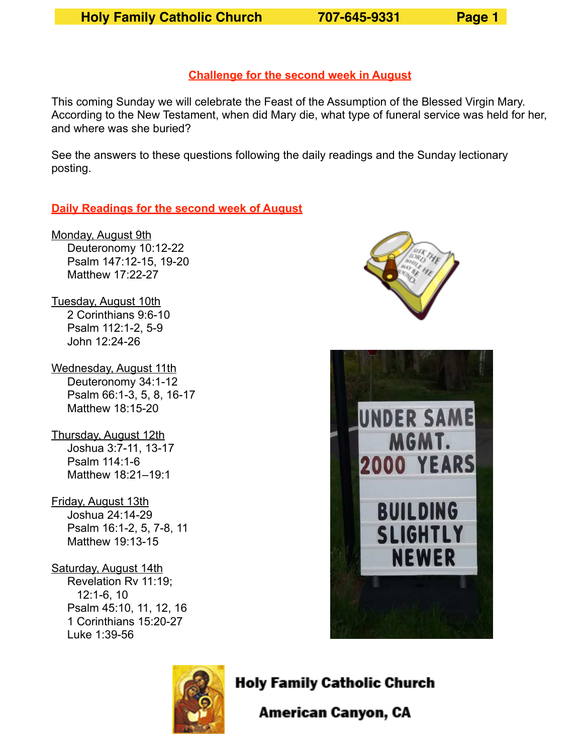#### **Challenge for the second week in August**

This coming Sunday we will celebrate the Feast of the Assumption of the Blessed Virgin Mary. According to the New Testament, when did Mary die, what type of funeral service was held for her, and where was she buried?

See the answers to these questions following the daily readings and the Sunday lectionary posting.

#### **Daily Readings for the second week of August**

Monday, August 9th Deuteronomy 10:12-22 Psalm 147:12-15, 19-20 Matthew 17:22-27

Tuesday, August 10th 2 Corinthians 9:6-10 Psalm 112:1-2, 5-9 John 12:24-26

- Wednesday, August 11th Deuteronomy 34:1-12 Psalm 66:1-3, 5, 8, 16-17 Matthew 18:15-20
- Thursday, August 12th Joshua 3:7-11, 13-17 Psalm 114:1-6 Matthew 18:21–19:1
- Friday, August 13th Joshua 24:14-29 Psalm 16:1-2, 5, 7-8, 11 Matthew 19:13-15

#### Saturday, August 14th

 Revelation Rv 11:19; 12:1-6, 10 Psalm 45:10, 11, 12, 16 1 Corinthians 15:20-27 Luke 1:39-56







**Holy Family Catholic Church** 

American Canyon, CA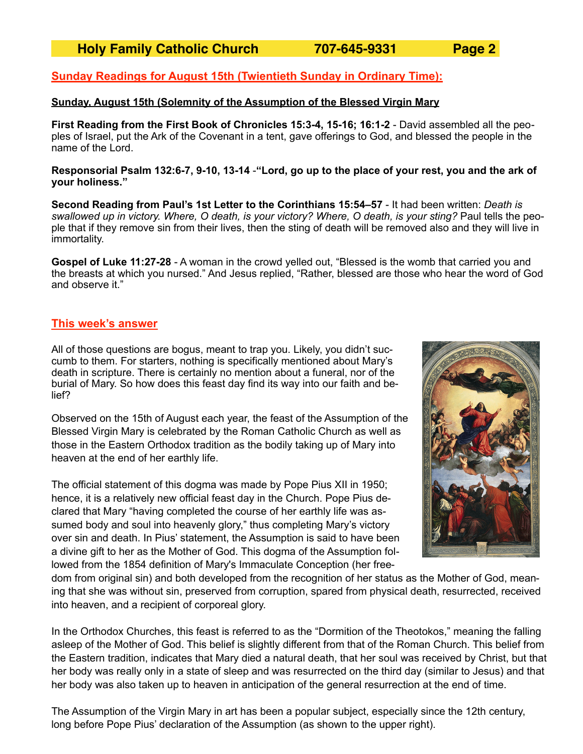#### **Sunday Readings for August 15th (Twientieth Sunday in Ordinary Time):**

#### **Sunday, August 15th (Solemnity of the Assumption of the Blessed Virgin Mary**

**First Reading from the First Book of Chronicles 15:3-4, 15-16; 16:1-2** - David assembled all the peoples of Israel, put the Ark of the Covenant in a tent, gave offerings to God, and blessed the people in the name of the Lord.

**Responsorial Psalm 132:6-7, 9-10, 13-14** -**"Lord, go up to the place of your rest, you and the ark of your holiness."** 

**Second Reading from Paul's 1st Letter to the Corinthians 15:54–57** - It had been written: *Death is swallowed up in victory. Where, O death, is your victory? Where, O death, is your sting?* Paul tells the people that if they remove sin from their lives, then the sting of death will be removed also and they will live in immortality.

**Gospel of Luke 11:27-28** - A woman in the crowd yelled out, "Blessed is the womb that carried you and the breasts at which you nursed." And Jesus replied, "Rather, blessed are those who hear the word of God and observe it."

#### **This week's answer**

All of those questions are bogus, meant to trap you. Likely, you didn't succumb to them. For starters, nothing is specifically mentioned about Mary's death in scripture. There is certainly no mention about a funeral, nor of the burial of Mary. So how does this feast day find its way into our faith and belief?

Observed on the 15th of August each year, the feast of the Assumption of the Blessed Virgin Mary is celebrated by the Roman Catholic Church as well as those in the Eastern Orthodox tradition as the bodily taking up of Mary into heaven at the end of her earthly life.

The official statement of this dogma was made by Pope Pius XII in 1950; hence, it is a relatively new official feast day in the Church. Pope Pius declared that Mary "having completed the course of her earthly life was assumed body and soul into heavenly glory," thus completing Mary's victory over sin and death. In Pius' statement, the Assumption is said to have been a divine gift to her as the Mother of God. This dogma of the Assumption followed from the 1854 definition of Mary's [Immaculate Conception](https://en.wikipedia.org/wiki/Immaculate_Conception) (her free-



dom from [original sin](https://en.wikipedia.org/wiki/Original_sin)) and both developed from the recognition of her status as the [Mother of God,](https://en.wikipedia.org/wiki/Mother_of_God) meaning that she was without sin, preserved from corruption, spared from physical death, resurrected, received into heaven, and a recipient of corporeal glory.

In the Orthodox Churches, this feast is referred to as the "Dormition of the Theotokos," meaning the falling asleep of the Mother of God. This belief is slightly different from that of the Roman Church. This belief from the Eastern tradition, indicates that Mary died a natural death, that her soul was received by Christ, but that her body was really only in a state of sleep and was resurrected on the third day (similar to Jesus) and that her body was also taken up to heaven in anticipation of the general resurrection at the end of time.

The [Assumption of the Virgin Mary in art](https://en.wikipedia.org/wiki/Assumption_of_the_Virgin_Mary_in_art) has been a popular subject, especially since the 12th century, long before Pope Pius' declaration of the Assumption (as shown to the upper right).